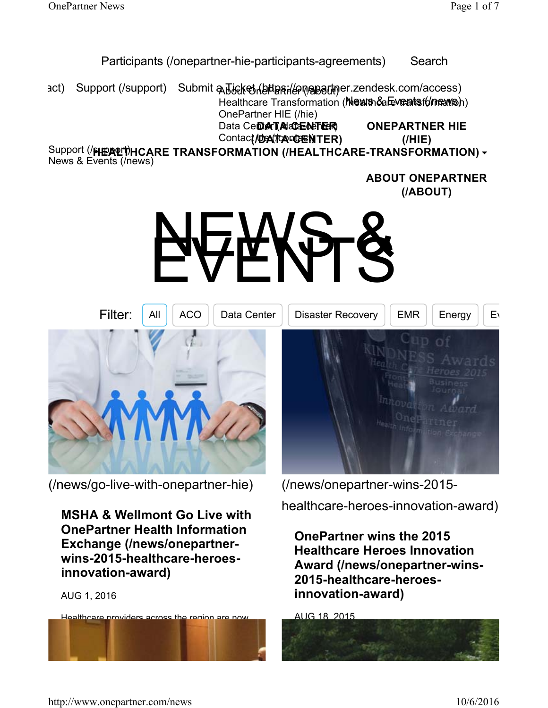### Participants (/onepartner-hie-participants-agreements) Search

act) Support (/support) Submit a Ticket (bttps://onepartner.zendesk.com/access) Healthcare Transformation (Mewn Sale Yeats for mars) OnePartner HIE (/hie) Data Ce**Der (Acceder ER) ONEPARTNER HIE**

Contact/Dex(Tox<sup>od</sup>ENTER)

**(/HIE)**

Support (**/HEALTHCARE TRANSFORMATION (/HEALTHCARE-TRANSFORMATION)** News & Events (/news)

> **ABOUT ONEPARTNER (/ABOUT)**

# NEWS &



(/news/go-live-with-onepartner-hie)

**MSHA & Wellmont Go Live with OnePartner Health Information Exchange (/news/onepartnerwins-2015-healthcare-heroesinnovation-award)**

#### AUG 1, 2016

Healthcare providers across the region are now afforded secure access to clinical patient data

from both hospital systems at the point of care.

(/news/onepartner-wins-2015 healthcare-heroes-innovation-award)

**OnePartner wins the 2015 Healthcare Heroes Innovation Award (/news/onepartner-wins-2015-healthcare-heroesinnovation-award)**

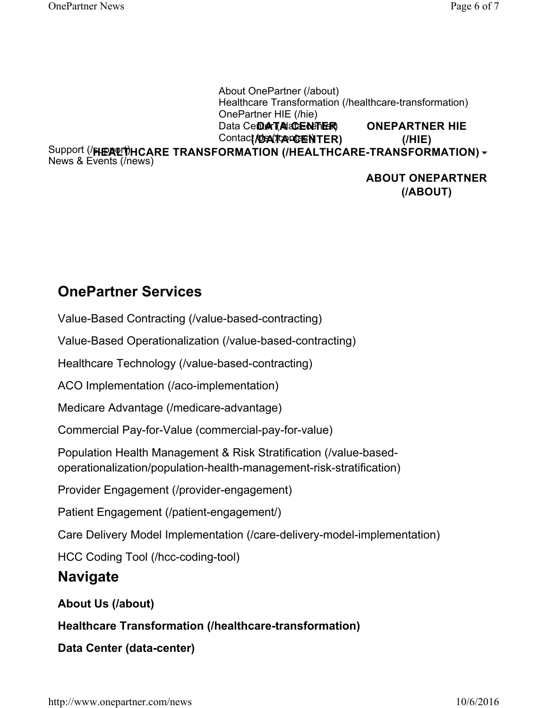About OnePartner (/about) Healthcare Transformation (/healthcare-transformation) OnePartner HIE (/hie) Data Ce**Der (Acceder ER)** Contact/Dex(Tox<sup>od</sup>ENTER) Support (**/HEALTHCARE TRANSFORMATION (/HEALTHCARE-TRANSFORMATION)** News & Events (/news) **ONEPARTNER HIE (/HIE)**

> **ABOUT ONEPARTNER (/ABOUT)**

# **OnePartner Services**

Value-Based Contracting (/value-based-contracting)

Value-Based Operationalization (/value-based-contracting)

Healthcare Technology (/value-based-contracting)

ACO Implementation (/aco-implementation)

Medicare Advantage (/medicare-advantage)

Commercial Pay-for-Value (commercial-pay-for-value)

Population Health Management & Risk Stratification (/value-basedoperationalization/population-health-management-risk-stratification)

Provider Engagement (/provider-engagement)

Patient Engagement (/patient-engagement/)

Care Delivery Model Implementation (/care-delivery-model-implementation)

HCC Coding Tool (/hcc-coding-tool)

# **Navigate**

## **About Us (/about)**

**Healthcare Transformation (/healthcare-transformation)**

**Data Center (data-center)**